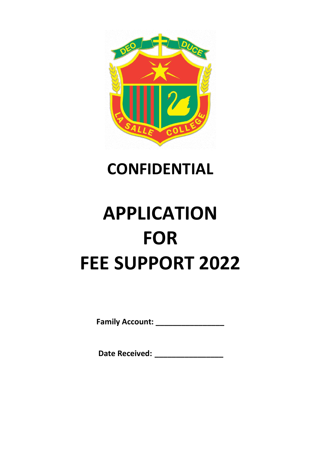

# **CONFIDENTIAL**

# **APPLICATION FOR FEE SUPPORT 2022**

**Family Account: \_\_\_\_\_\_\_\_\_\_\_\_\_\_\_\_**

**Date Received: \_\_\_\_\_\_\_\_\_\_\_\_\_\_\_\_**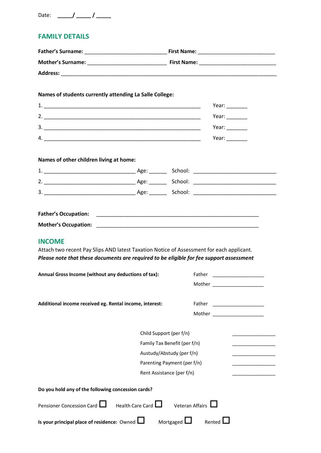| Date: |  |
|-------|--|
|-------|--|

### **FAMILY DETAILS**

| Names of students currently attending La Salle College:                                                                                                                                              |                         |                              |                                                                                                                                                                                                                                                                                                                                                                                                                          |  |  |
|------------------------------------------------------------------------------------------------------------------------------------------------------------------------------------------------------|-------------------------|------------------------------|--------------------------------------------------------------------------------------------------------------------------------------------------------------------------------------------------------------------------------------------------------------------------------------------------------------------------------------------------------------------------------------------------------------------------|--|--|
|                                                                                                                                                                                                      |                         |                              | Year: $\frac{1}{\sqrt{1-\frac{1}{2}}}\frac{1}{\sqrt{1-\frac{1}{2}}}\frac{1}{\sqrt{1-\frac{1}{2}}}\frac{1}{\sqrt{1-\frac{1}{2}}}\frac{1}{\sqrt{1-\frac{1}{2}}}\frac{1}{\sqrt{1-\frac{1}{2}}}\frac{1}{\sqrt{1-\frac{1}{2}}}\frac{1}{\sqrt{1-\frac{1}{2}}}\frac{1}{\sqrt{1-\frac{1}{2}}}\frac{1}{\sqrt{1-\frac{1}{2}}}\frac{1}{\sqrt{1-\frac{1}{2}}}\frac{1}{\sqrt{1-\frac{1}{2}}}\frac{1}{\sqrt{1-\frac{1}{2}}}\frac{1}{\$ |  |  |
|                                                                                                                                                                                                      |                         |                              | Year: $\frac{1}{\sqrt{1-\frac{1}{2}}}\frac{1}{\sqrt{1-\frac{1}{2}}\sqrt{1-\frac{1}{2}}\left(\frac{1}{2}-\frac{1}{2}\right)}$                                                                                                                                                                                                                                                                                             |  |  |
|                                                                                                                                                                                                      |                         |                              | Year: $\qquad \qquad$                                                                                                                                                                                                                                                                                                                                                                                                    |  |  |
|                                                                                                                                                                                                      |                         |                              | Year: $\qquad \qquad$                                                                                                                                                                                                                                                                                                                                                                                                    |  |  |
| Names of other children living at home:                                                                                                                                                              |                         |                              |                                                                                                                                                                                                                                                                                                                                                                                                                          |  |  |
|                                                                                                                                                                                                      |                         |                              |                                                                                                                                                                                                                                                                                                                                                                                                                          |  |  |
|                                                                                                                                                                                                      |                         |                              |                                                                                                                                                                                                                                                                                                                                                                                                                          |  |  |
|                                                                                                                                                                                                      |                         |                              |                                                                                                                                                                                                                                                                                                                                                                                                                          |  |  |
|                                                                                                                                                                                                      |                         |                              |                                                                                                                                                                                                                                                                                                                                                                                                                          |  |  |
|                                                                                                                                                                                                      |                         |                              |                                                                                                                                                                                                                                                                                                                                                                                                                          |  |  |
| <b>INCOME</b><br>Attach two recent Pay Slips AND latest Taxation Notice of Assessment for each applicant.<br>Please note that these documents are required to be eligible for fee support assessment |                         |                              |                                                                                                                                                                                                                                                                                                                                                                                                                          |  |  |
| Annual Gross Income (without any deductions of tax):                                                                                                                                                 |                         |                              | Father and the contract of the contract of the contract of the contract of the contract of the contract of the                                                                                                                                                                                                                                                                                                           |  |  |
|                                                                                                                                                                                                      |                         |                              | Mother                                                                                                                                                                                                                                                                                                                                                                                                                   |  |  |
| Additional income received eg. Rental income, interest:                                                                                                                                              |                         | Father                       |                                                                                                                                                                                                                                                                                                                                                                                                                          |  |  |
|                                                                                                                                                                                                      |                         |                              | Mother ____________________                                                                                                                                                                                                                                                                                                                                                                                              |  |  |
|                                                                                                                                                                                                      |                         | Child Support (per f/n)      |                                                                                                                                                                                                                                                                                                                                                                                                                          |  |  |
|                                                                                                                                                                                                      |                         | Family Tax Benefit (per f/n) |                                                                                                                                                                                                                                                                                                                                                                                                                          |  |  |
|                                                                                                                                                                                                      |                         | Austudy/Abstudy (per f/n)    |                                                                                                                                                                                                                                                                                                                                                                                                                          |  |  |
|                                                                                                                                                                                                      |                         | Parenting Payment (per f/n)  |                                                                                                                                                                                                                                                                                                                                                                                                                          |  |  |
|                                                                                                                                                                                                      |                         | Rent Assistance (per f/n)    |                                                                                                                                                                                                                                                                                                                                                                                                                          |  |  |
| Do you hold any of the following concession cards?                                                                                                                                                   |                         |                              |                                                                                                                                                                                                                                                                                                                                                                                                                          |  |  |
| Pensioner Concession Card                                                                                                                                                                            | Health Care Card $\Box$ | Veteran Affairs              |                                                                                                                                                                                                                                                                                                                                                                                                                          |  |  |
| Is your principal place of residence: Owned $\Box$ Mortgaged $\Box$                                                                                                                                  |                         |                              | Rented I                                                                                                                                                                                                                                                                                                                                                                                                                 |  |  |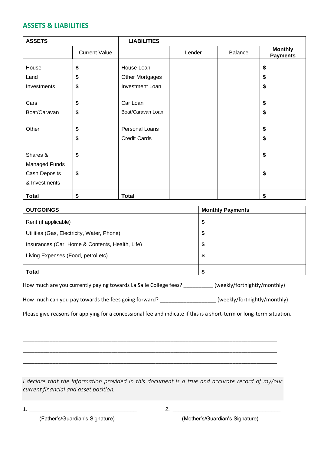#### **ASSETS & LIABILITIES**

| <b>ASSETS</b> |                      | <b>LIABILITIES</b>  |        |         |                                   |
|---------------|----------------------|---------------------|--------|---------|-----------------------------------|
|               | <b>Current Value</b> |                     | Lender | Balance | <b>Monthly</b><br><b>Payments</b> |
| House         | \$                   | House Loan          |        |         | \$                                |
| Land          | \$                   | Other Mortgages     |        |         | \$                                |
| Investments   | \$                   | Investment Loan     |        |         | \$                                |
|               |                      |                     |        |         |                                   |
| Cars          | \$                   | Car Loan            |        |         | \$                                |
| Boat/Caravan  | \$                   | Boat/Caravan Loan   |        |         | \$                                |
|               |                      |                     |        |         |                                   |
| Other         | \$                   | Personal Loans      |        |         | \$                                |
|               | \$                   | <b>Credit Cards</b> |        |         | \$                                |
|               |                      |                     |        |         |                                   |
| Shares &      | \$                   |                     |        |         | \$                                |
| Managed Funds |                      |                     |        |         |                                   |
| Cash Deposits | \$                   |                     |        |         | \$                                |
| & Investments |                      |                     |        |         |                                   |
| <b>Total</b>  | \$                   | <b>Total</b>        |        |         | \$                                |

| <b>OUTGOINGS</b>                                | <b>Monthly Payments</b> |
|-------------------------------------------------|-------------------------|
| Rent (if applicable)                            | \$                      |
| Utilities (Gas, Electricity, Water, Phone)      | \$                      |
| Insurances (Car, Home & Contents, Health, Life) | \$                      |
| Living Expenses (Food, petrol etc)              | \$                      |
| <b>Total</b>                                    |                         |

| How much are you currently paying towards La Salle College fees? | (weekly/fortnightly/monthly) |
|------------------------------------------------------------------|------------------------------|
|------------------------------------------------------------------|------------------------------|

| How much can you pay towards the fees going forward? | (weekly/fortnightly/monthly) |
|------------------------------------------------------|------------------------------|
|------------------------------------------------------|------------------------------|

Please give reasons for applying for a concessional fee and indicate if this is a short-term or long-term situation.

\_\_\_\_\_\_\_\_\_\_\_\_\_\_\_\_\_\_\_\_\_\_\_\_\_\_\_\_\_\_\_\_\_\_\_\_\_\_\_\_\_\_\_\_\_\_\_\_\_\_\_\_\_\_\_\_\_\_\_\_\_\_\_\_\_\_\_\_\_\_\_\_\_\_\_\_\_\_\_\_\_\_\_\_\_\_

\_\_\_\_\_\_\_\_\_\_\_\_\_\_\_\_\_\_\_\_\_\_\_\_\_\_\_\_\_\_\_\_\_\_\_\_\_\_\_\_\_\_\_\_\_\_\_\_\_\_\_\_\_\_\_\_\_\_\_\_\_\_\_\_\_\_\_\_\_\_\_\_\_\_\_\_\_\_\_\_\_\_\_\_\_\_

\_\_\_\_\_\_\_\_\_\_\_\_\_\_\_\_\_\_\_\_\_\_\_\_\_\_\_\_\_\_\_\_\_\_\_\_\_\_\_\_\_\_\_\_\_\_\_\_\_\_\_\_\_\_\_\_\_\_\_\_\_\_\_\_\_\_\_\_\_\_\_\_\_\_\_\_\_\_\_\_\_\_\_\_\_\_

\_\_\_\_\_\_\_\_\_\_\_\_\_\_\_\_\_\_\_\_\_\_\_\_\_\_\_\_\_\_\_\_\_\_\_\_\_\_\_\_\_\_\_\_\_\_\_\_\_\_\_\_\_\_\_\_\_\_\_\_\_\_\_\_\_\_\_\_\_\_\_\_\_\_\_\_\_\_\_\_\_\_\_\_\_\_

*I declare that the information provided in this document is a true and accurate record of my/our current financial and asset position.*

1. \_\_\_\_\_\_\_\_\_\_\_\_\_\_\_\_\_\_\_\_\_\_\_\_\_\_\_\_\_\_\_\_\_\_\_\_ 2. \_\_\_\_\_\_\_\_\_\_\_\_\_\_\_\_\_\_\_\_\_\_\_\_\_\_\_\_\_\_\_\_\_\_\_\_